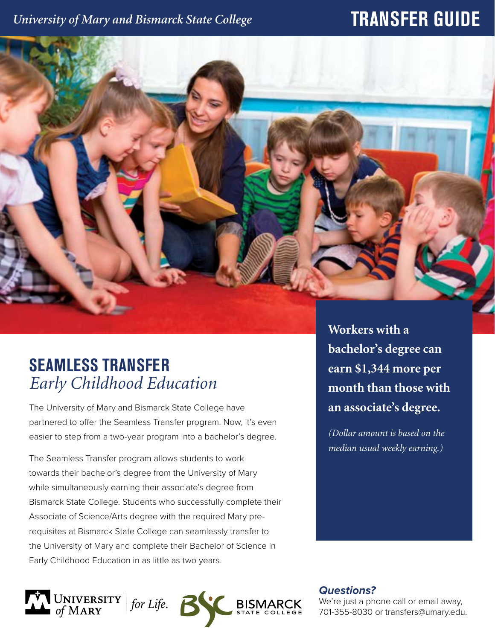### *University of Mary and Bismarck State College*

# **TRANSFER GUIDE**



## **SEAMLESS TRANSFER** *Early Childhood Education*

The University of Mary and Bismarck State College have partnered to offer the Seamless Transfer program. Now, it's even easier to step from a two-year program into a bachelor's degree.

The Seamless Transfer program allows students to work towards their bachelor's degree from the University of Mary while simultaneously earning their associate's degree from Bismarck State College. Students who successfully complete their Associate of Science/Arts degree with the required Mary prerequisites at Bismarck State College can seamlessly transfer to the University of Mary and complete their Bachelor of Science in Early Childhood Education in as little as two years.

**Workers with a bachelor's degree can earn \$1,344 more per month than those with an associate's degree.** 

*(Dollar amount is based on the median usual weekly earning.)*

UNIVERSITY | for Life. **6 BISM**  *Questions?*

We're just a phone call or email away, 701-355-8030 or transfers@umary.edu.